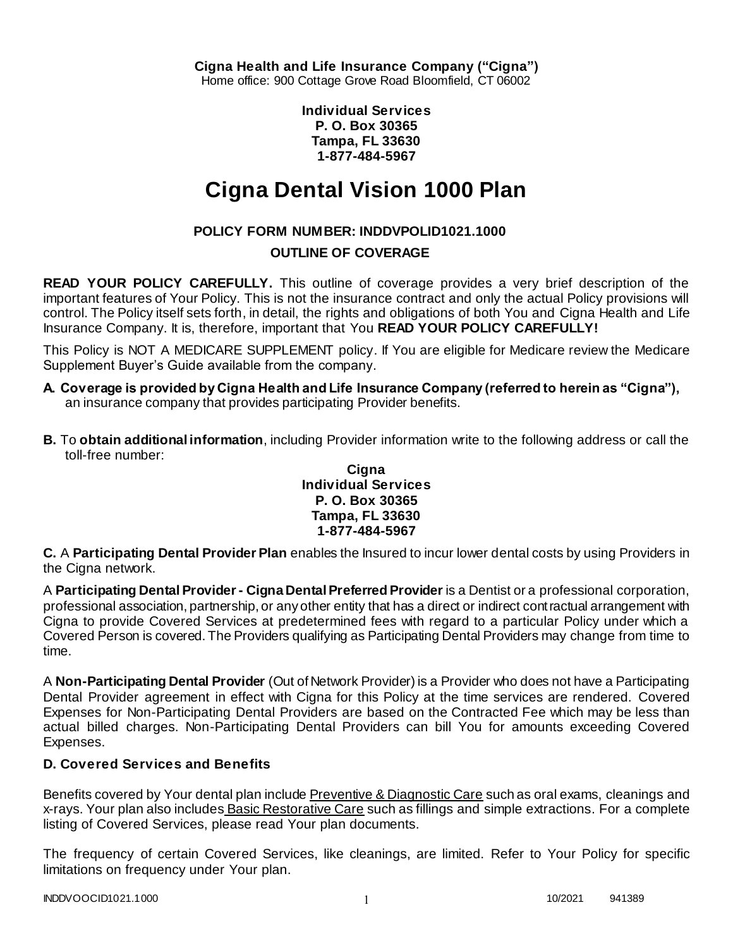**Individual Services P. O. Box 30365 Tampa, FL 33630 1-877-484-5967**

# **Cigna Dental Vision 1000 Plan**

# **POLICY FORM NUMBER: INDDVPOLID1021.1000**

# **OUTLINE OF COVERAGE**

**READ YOUR POLICY CAREFULLY.** This outline of coverage provides a very brief description of the important features of Your Policy. This is not the insurance contract and only the actual Policy provisions will control. The Policy itself sets forth, in detail, the rights and obligations of both You and Cigna Health and Life Insurance Company. It is, therefore, important that You **READ YOUR POLICY CAREFULLY!** 

This Policy is NOT A MEDICARE SUPPLEMENT policy. If You are eligible for Medicare review the Medicare Supplement Buyer's Guide available from the company.

- **A. Coverage is provided by Cigna Health and Life Insurance Company (referred to herein as "Cigna"),**  an insurance company that provides participating Provider benefits.
- **B.** To **obtain additional information**, including Provider information write to the following address or call the toll-free number:

### **Cigna Individual Services P. O. Box 30365 Tampa, FL 33630 1-877-484-5967**

**C.** A **Participating Dental Provider Plan** enables the Insured to incur lower dental costs by using Providers in the Cigna network.

A **Participating Dental Provider - Cigna Dental Preferred Provider** is a Dentist or a professional corporation, professional association, partnership, or any other entity that has a direct or indirect contractual arrangement with Cigna to provide Covered Services at predetermined fees with regard to a particular Policy under which a Covered Person is covered. The Providers qualifying as Participating Dental Providers may change from time to time.

A **Non-Participating Dental Provider** (Out of Network Provider) is a Provider who does not have a Participating Dental Provider agreement in effect with Cigna for this Policy at the time services are rendered. Covered Expenses for Non-Participating Dental Providers are based on the Contracted Fee which may be less than actual billed charges. Non-Participating Dental Providers can bill You for amounts exceeding Covered Expenses.

# **D. Covered Services and Benefits**

Benefits covered by Your dental plan include Preventive & Diagnostic Care such as oral exams, cleanings and x-rays. Your plan also includes Basic Restorative Care such as fillings and simple extractions. For a complete listing of Covered Services, please read Your plan documents.

The frequency of certain Covered Services, like cleanings, are limited. Refer to Your Policy for specific limitations on frequency under Your plan.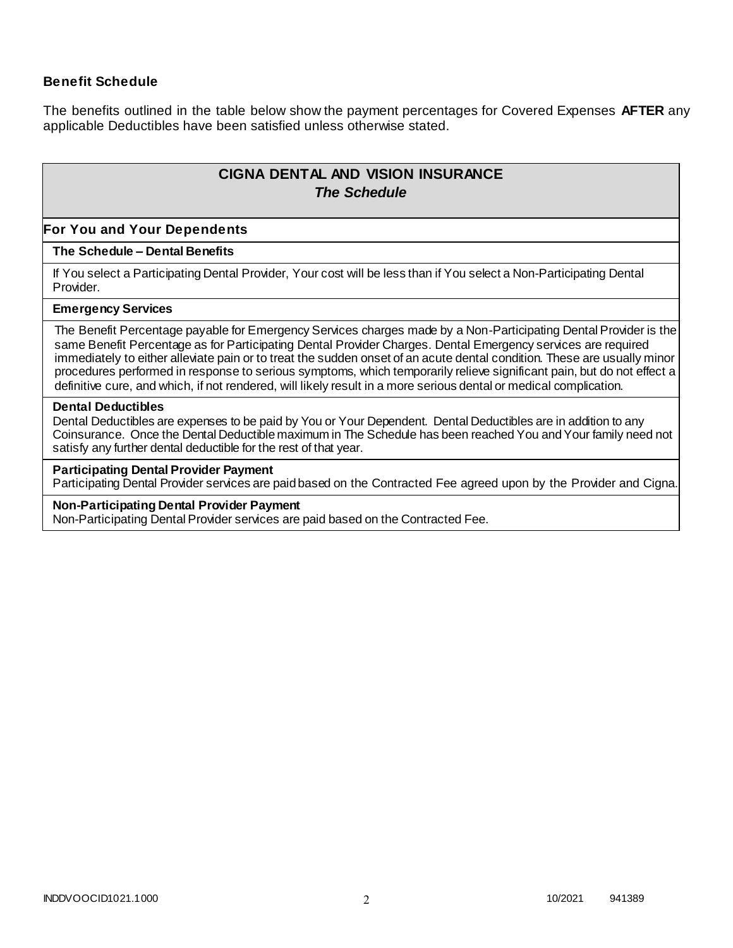### **Benefit Schedule**

The benefits outlined in the table below show the payment percentages for Covered Expenses **AFTER** any applicable Deductibles have been satisfied unless otherwise stated.

# **CIGNA DENTAL AND VISION INSURANCE** *The Schedule*

### **For You and Your Dependents**

### **The Schedule – Dental Benefits**

If You select a Participating Dental Provider, Your cost will be less than if You select a Non-Participating Dental Provider.

#### **Emergency Services**

The Benefit Percentage payable for Emergency Services charges made by a Non-Participating Dental Provider is the same Benefit Percentage as for Participating Dental Provider Charges. Dental Emergency services are required immediately to either alleviate pain or to treat the sudden onset of an acute dental condition. These are usually minor procedures performed in response to serious symptoms, which temporarily relieve significant pain, but do not effect a definitive cure, and which, if not rendered, will likely result in a more serious dental or medical complication.

#### **Dental Deductibles**

Dental Deductibles are expenses to be paid by You or Your Dependent. Dental Deductibles are in addition to any Coinsurance. Once the Dental Deductible maximum in The Schedule has been reached You and Your family need not satisfy any further dental deductible for the rest of that year.

#### **Participating Dental Provider Payment**

Participating Dental Provider services are paid based on the Contracted Fee agreed upon by the Provider and Cigna.

#### **Non-Participating Dental Provider Payment**

Non-Participating Dental Provider services are paid based on the Contracted Fee.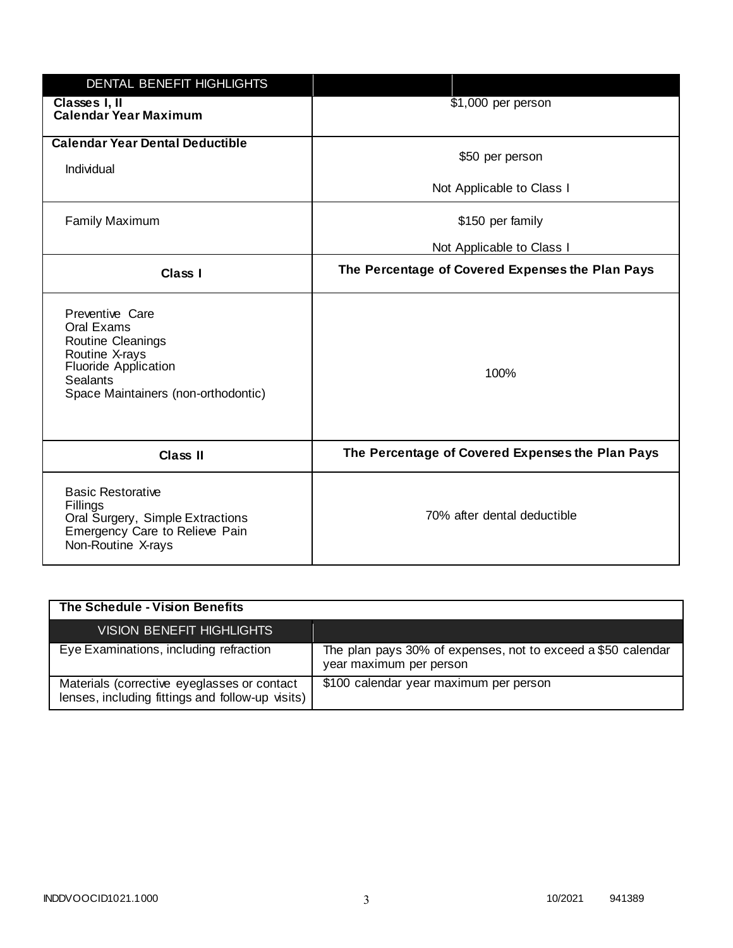| DENTAL BENEFIT HIGHLIGHTS                                                                                                                              |                                                  |
|--------------------------------------------------------------------------------------------------------------------------------------------------------|--------------------------------------------------|
| Classes I, II<br><b>Calendar Year Maximum</b>                                                                                                          | \$1,000 per person                               |
| <b>Calendar Year Dental Deductible</b><br>Individual                                                                                                   | \$50 per person                                  |
|                                                                                                                                                        | Not Applicable to Class I                        |
| <b>Family Maximum</b>                                                                                                                                  | \$150 per family                                 |
|                                                                                                                                                        | Not Applicable to Class I                        |
| <b>Class I</b>                                                                                                                                         | The Percentage of Covered Expenses the Plan Pays |
| Preventive Care<br>Oral Exams<br>Routine Cleanings<br>Routine X-rays<br><b>Fluoride Application</b><br>Sealants<br>Space Maintainers (non-orthodontic) | 100%                                             |
| <b>Class II</b>                                                                                                                                        | The Percentage of Covered Expenses the Plan Pays |
| <b>Basic Restorative</b><br>Fillings<br>Oral Surgery, Simple Extractions<br>Emergency Care to Relieve Pain<br>Non-Routine X-rays                       | 70% after dental deductible                      |

| The Schedule - Vision Benefits                                                                  |                                                                                         |
|-------------------------------------------------------------------------------------------------|-----------------------------------------------------------------------------------------|
| <b>VISION BENEFIT HIGHLIGHTS</b>                                                                |                                                                                         |
| Eye Examinations, including refraction                                                          | The plan pays 30% of expenses, not to exceed a \$50 calendar<br>year maximum per person |
| Materials (corrective eyeglasses or contact<br>lenses, including fittings and follow-up visits) | \$100 calendar year maximum per person                                                  |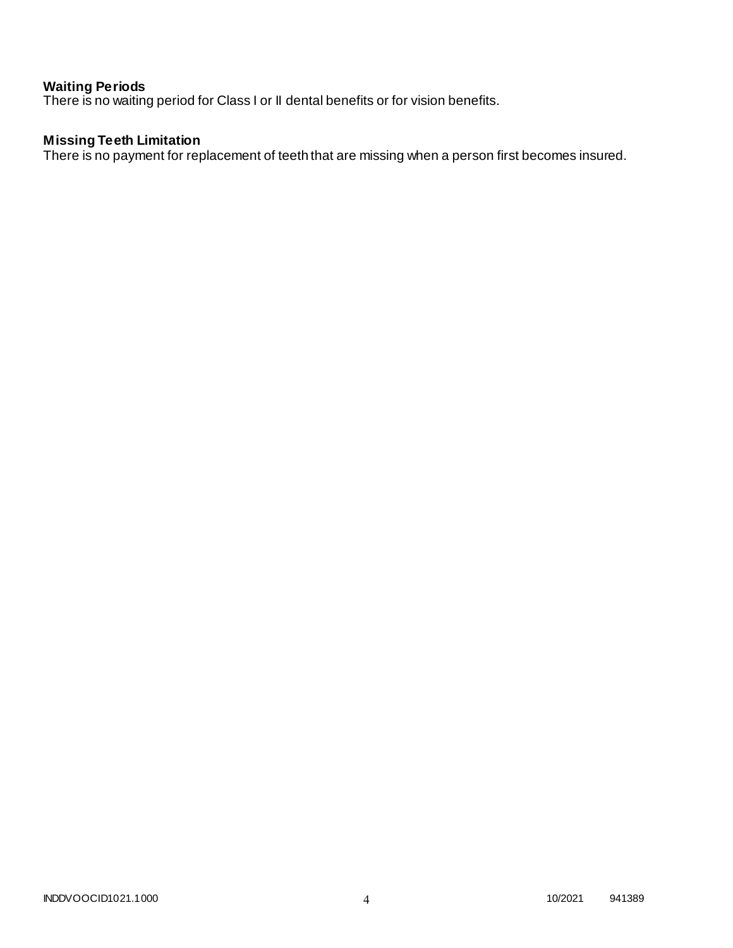### **Waiting Periods**

There is no waiting period for Class I or II dental benefits or for vision benefits.

# **Missing Teeth Limitation**

There is no payment for replacement of teeth that are missing when a person first becomes insured.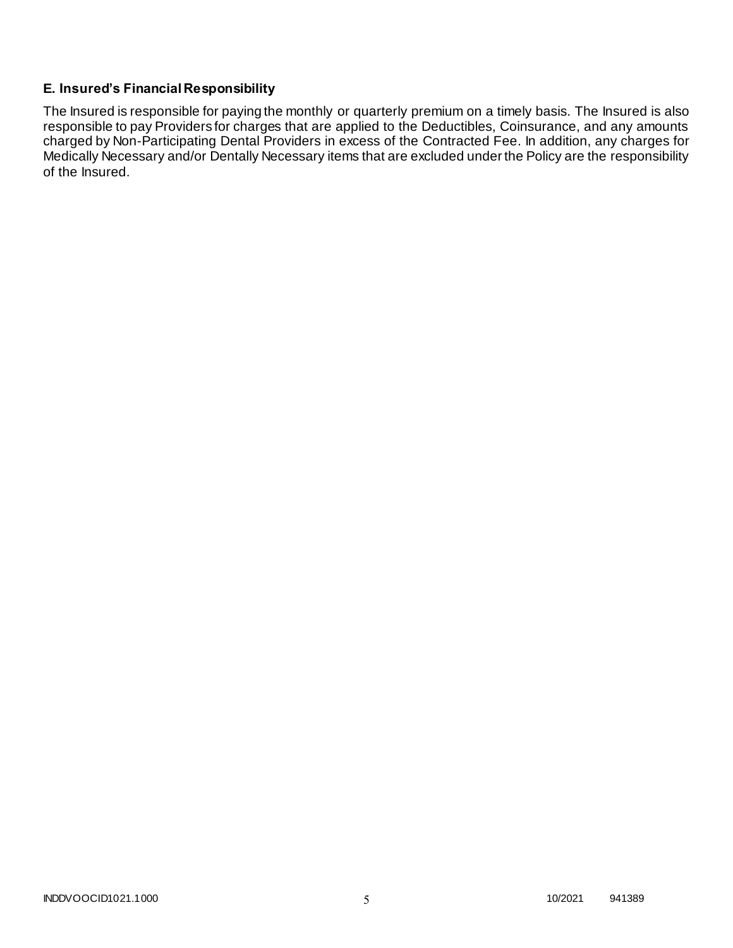# **E. Insured's Financial Responsibility**

The Insured is responsible for paying the monthly or quarterly premium on a timely basis. The Insured is also responsible to pay Providers for charges that are applied to the Deductibles, Coinsurance, and any amounts charged by Non-Participating Dental Providers in excess of the Contracted Fee. In addition, any charges for Medically Necessary and/or Dentally Necessary items that are excluded under the Policy are the responsibility of the Insured.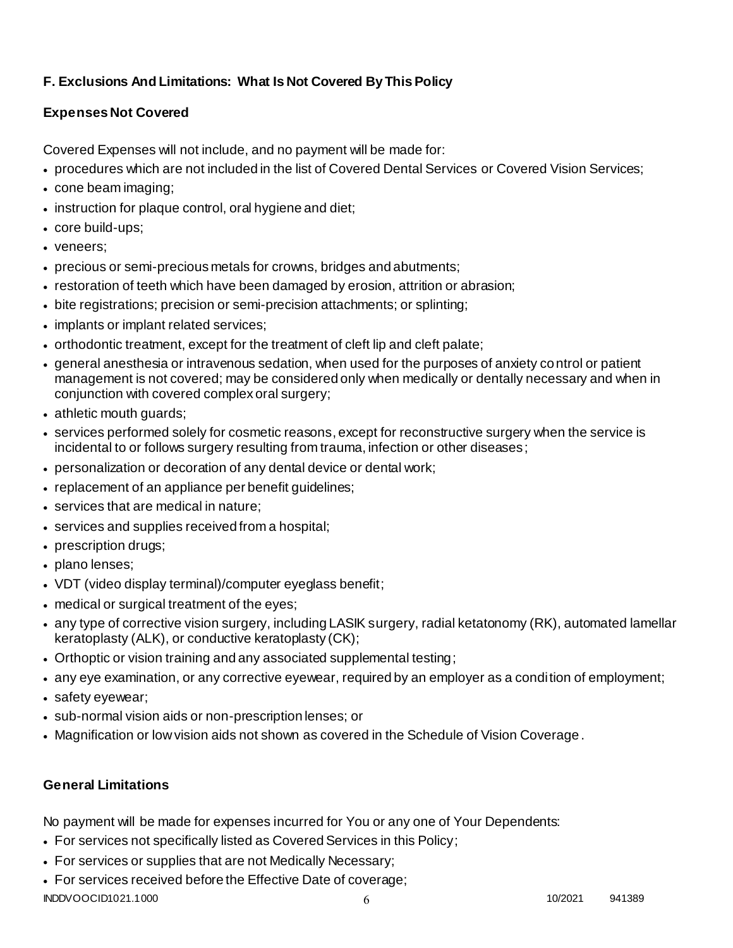# **F. Exclusions And Limitations: What Is Not Covered By This Policy**

# **Expenses Not Covered**

Covered Expenses will not include, and no payment will be made for:

- procedures which are not included in the list of Covered Dental Services or Covered Vision Services;
- cone beam imaging;
- instruction for plaque control, oral hygiene and diet;
- core build-ups;
- veneers;
- precious or semi-precious metals for crowns, bridges and abutments;
- restoration of teeth which have been damaged by erosion, attrition or abrasion;
- bite registrations; precision or semi-precision attachments; or splinting;
- implants or implant related services;
- orthodontic treatment, except for the treatment of cleft lip and cleft palate;
- general anesthesia or intravenous sedation, when used for the purposes of anxiety control or patient management is not covered; may be considered only when medically or dentally necessary and when in conjunction with covered complex oral surgery;
- athletic mouth guards;
- services performed solely for cosmetic reasons, except for reconstructive surgery when the service is incidental to or follows surgery resulting from trauma, infection or other diseases;
- personalization or decoration of any dental device or dental work;
- replacement of an appliance per benefit guidelines;
- services that are medical in nature:
- services and supplies received from a hospital;
- prescription drugs;
- plano lenses;
- VDT (video display terminal)/computer eyeglass benefit;
- medical or surgical treatment of the eyes;
- any type of corrective vision surgery, including LASIK surgery, radial ketatonomy (RK), automated lamellar keratoplasty (ALK), or conductive keratoplasty (CK);
- Orthoptic or vision training and any associated supplemental testing;
- any eye examination, or any corrective eyewear, required by an employer as a condition of employment;
- safety eyewear;
- sub-normal vision aids or non-prescription lenses; or
- Magnification or low vision aids not shown as covered in the Schedule of Vision Coverage.

# **General Limitations**

No payment will be made for expenses incurred for You or any one of Your Dependents:

- For services not specifically listed as Covered Services in this Policy;
- For services or supplies that are not Medically Necessary;
- For services received before the Effective Date of coverage;

INDDVOOCID1021.1000 6 10/2021 941389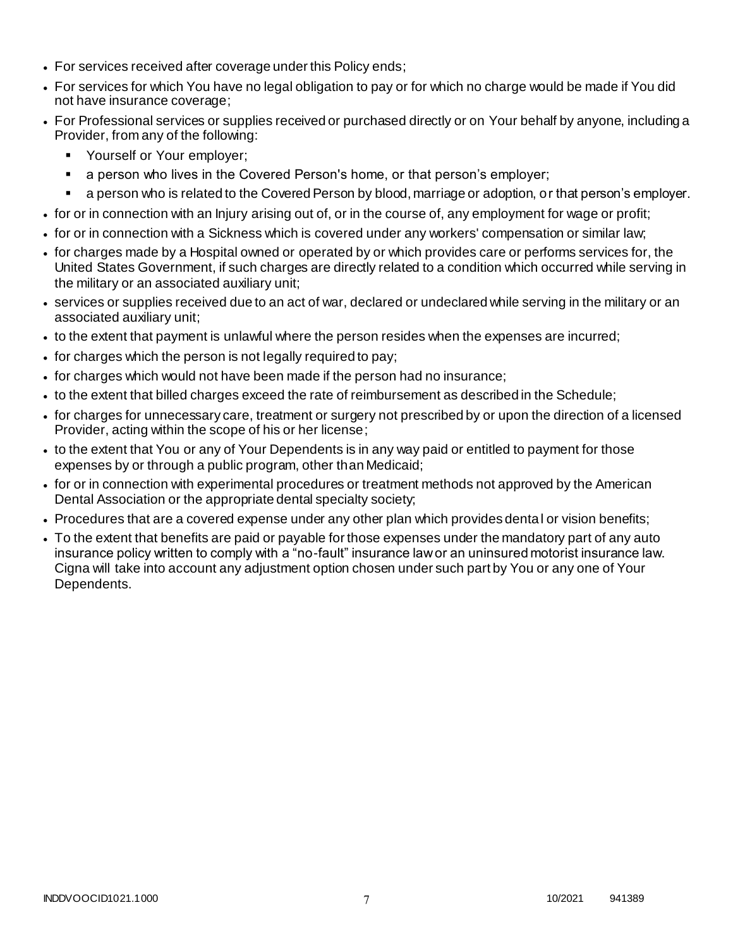- For services received after coverage under this Policy ends;
- For services for which You have no legal obligation to pay or for which no charge would be made if You did not have insurance coverage;
- For Professional services or supplies received or purchased directly or on Your behalf by anyone, including a Provider, from any of the following:
	- **Yourself or Your employer;**
	- a person who lives in the Covered Person's home, or that person's employer;
	- a person who is related to the Covered Person by blood, marriage or adoption, or that person's employer.
- for or in connection with an Injury arising out of, or in the course of, any employment for wage or profit;
- for or in connection with a Sickness which is covered under any workers' compensation or similar law;
- for charges made by a Hospital owned or operated by or which provides care or performs services for, the United States Government, if such charges are directly related to a condition which occurred while serving in the military or an associated auxiliary unit;
- services or supplies received due to an act of war, declared or undeclared while serving in the military or an associated auxiliary unit;
- to the extent that payment is unlawful where the person resides when the expenses are incurred;
- for charges which the person is not legally required to pay;
- for charges which would not have been made if the person had no insurance;
- to the extent that billed charges exceed the rate of reimbursement as described in the Schedule;
- for charges for unnecessary care, treatment or surgery not prescribed by or upon the direction of a licensed Provider, acting within the scope of his or her license;
- to the extent that You or any of Your Dependents is in any way paid or entitled to payment for those expenses by or through a public program, other than Medicaid;
- for or in connection with experimental procedures or treatment methods not approved by the American Dental Association or the appropriate dental specialty society;
- Procedures that are a covered expense under any other plan which provides dental or vision benefits;
- To the extent that benefits are paid or payable for those expenses under the mandatory part of any auto insurance policy written to comply with a "no-fault" insurance law or an uninsured motorist insurance law. Cigna will take into account any adjustment option chosen under such part by You or any one of Your Dependents.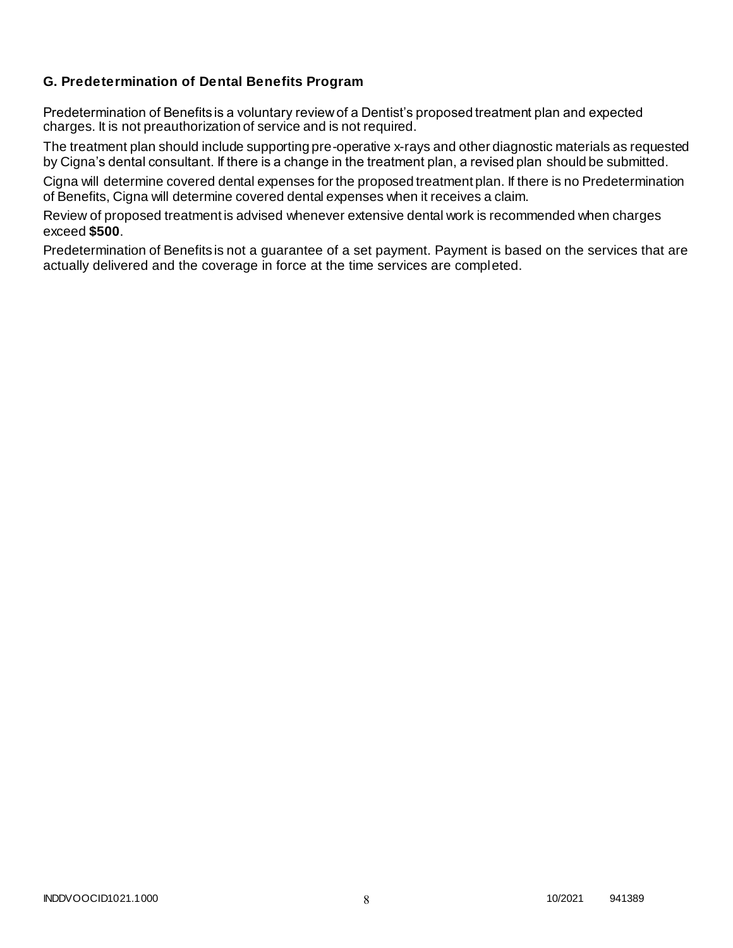# **G. Predetermination of Dental Benefits Program**

Predetermination of Benefits is a voluntary review of a Dentist's proposed treatment plan and expected charges. It is not preauthorization of service and is not required.

The treatment plan should include supporting pre-operative x-rays and other diagnostic materials as requested by Cigna's dental consultant. If there is a change in the treatment plan, a revised plan should be submitted.

Cigna will determine covered dental expenses for the proposed treatment plan. If there is no Predetermination of Benefits, Cigna will determine covered dental expenses when it receives a claim.

Review of proposed treatment is advised whenever extensive dental work is recommended when charges exceed **\$500**.

Predetermination of Benefits is not a guarantee of a set payment. Payment is based on the services that are actually delivered and the coverage in force at the time services are completed.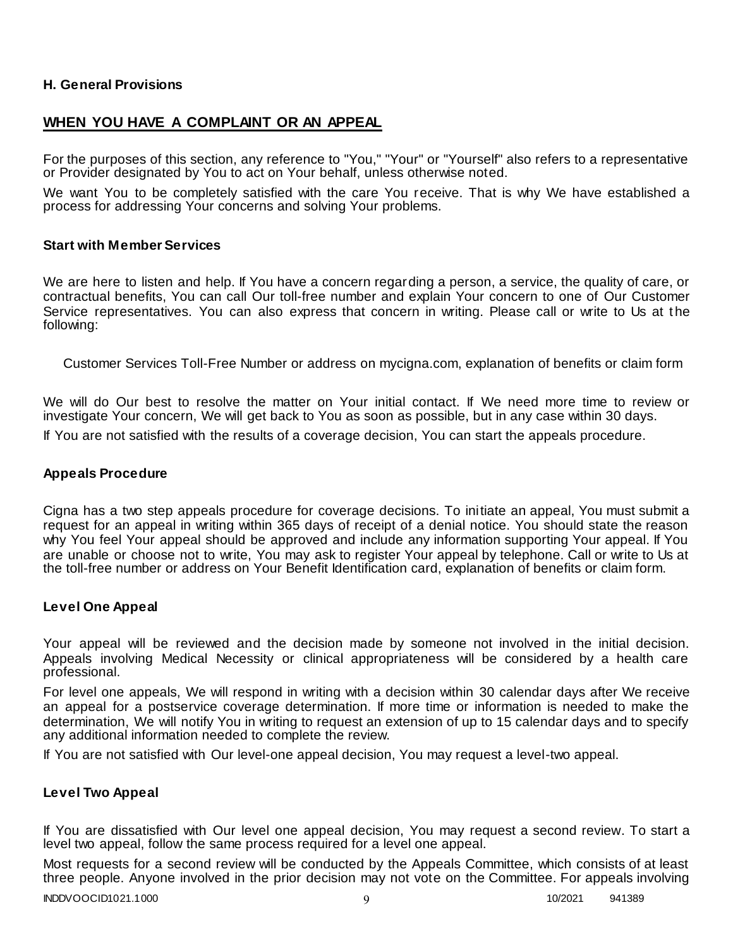### **H. General Provisions**

# **WHEN YOU HAVE A COMPLAINT OR AN APPEAL**

For the purposes of this section, any reference to "You," "Your" or "Yourself" also refers to a representative or Provider designated by You to act on Your behalf, unless otherwise noted.

We want You to be completely satisfied with the care You receive. That is why We have established a process for addressing Your concerns and solving Your problems.

### **Start with Member Services**

We are here to listen and help. If You have a concern regarding a person, a service, the quality of care, or contractual benefits, You can call Our toll-free number and explain Your concern to one of Our Customer Service representatives. You can also express that concern in writing. Please call or write to Us at the following:

Customer Services Toll-Free Number or address on mycigna.com, explanation of benefits or claim form

We will do Our best to resolve the matter on Your initial contact. If We need more time to review or investigate Your concern, We will get back to You as soon as possible, but in any case within 30 days. If You are not satisfied with the results of a coverage decision, You can start the appeals procedure.

### **Appeals Procedure**

Cigna has a two step appeals procedure for coverage decisions. To initiate an appeal, You must submit a request for an appeal in writing within 365 days of receipt of a denial notice. You should state the reason why You feel Your appeal should be approved and include any information supporting Your appeal. If You are unable or choose not to write, You may ask to register Your appeal by telephone. Call or write to Us at the toll-free number or address on Your Benefit Identification card, explanation of benefits or claim form.

### **Level One Appeal**

Your appeal will be reviewed and the decision made by someone not involved in the initial decision. Appeals involving Medical Necessity or clinical appropriateness will be considered by a health care professional.

For level one appeals, We will respond in writing with a decision within 30 calendar days after We receive an appeal for a postservice coverage determination. If more time or information is needed to make the determination, We will notify You in writing to request an extension of up to 15 calendar days and to specify any additional information needed to complete the review.

If You are not satisfied with Our level-one appeal decision, You may request a level-two appeal.

### **Level Two Appeal**

If You are dissatisfied with Our level one appeal decision, You may request a second review. To start a level two appeal, follow the same process required for a level one appeal.

Most requests for a second review will be conducted by the Appeals Committee, which consists of at least three people. Anyone involved in the prior decision may not vote on the Committee. For appeals involving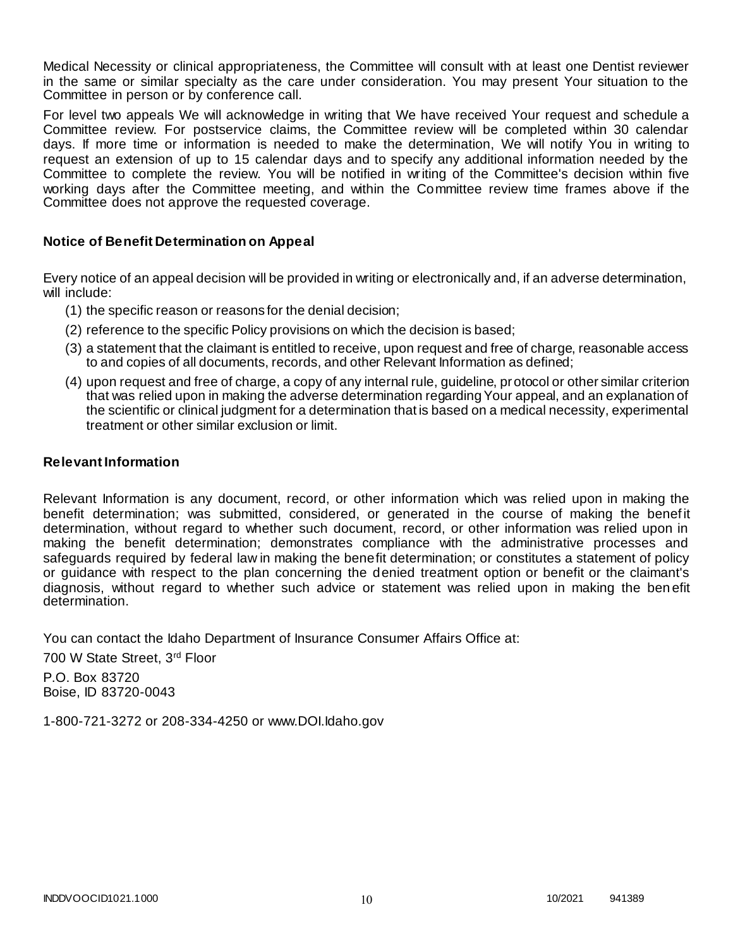Medical Necessity or clinical appropriateness, the Committee will consult with at least one Dentist reviewer in the same or similar specialty as the care under consideration. You may present Your situation to the Committee in person or by conference call.

For level two appeals We will acknowledge in writing that We have received Your request and schedule a Committee review. For postservice claims, the Committee review will be completed within 30 calendar days. If more time or information is needed to make the determination, We will notify You in writing to request an extension of up to 15 calendar days and to specify any additional information needed by the Committee to complete the review. You will be notified in writing of the Committee's decision within five working days after the Committee meeting, and within the Committee review time frames above if the Committee does not approve the requested coverage.

### **Notice of Benefit Determination on Appeal**

Every notice of an appeal decision will be provided in writing or electronically and, if an adverse determination, will include:

- (1) the specific reason or reasons for the denial decision;
- (2) reference to the specific Policy provisions on which the decision is based;
- (3) a statement that the claimant is entitled to receive, upon request and free of charge, reasonable access to and copies of all documents, records, and other Relevant Information as defined;
- (4) upon request and free of charge, a copy of any internal rule, guideline, protocol or other similar criterion that was relied upon in making the adverse determination regarding Your appeal, and an explanation of the scientific or clinical judgment for a determination that is based on a medical necessity, experimental treatment or other similar exclusion or limit.

### **Relevant Information**

Relevant Information is any document, record, or other information which was relied upon in making the benefit determination; was submitted, considered, or generated in the course of making the benef it determination, without regard to whether such document, record, or other information was relied upon in making the benefit determination; demonstrates compliance with the administrative processes and safeguards required by federal law in making the benefit determination; or constitutes a statement of policy or guidance with respect to the plan concerning the denied treatment option or benefit or the claimant's diagnosis, without regard to whether such advice or statement was relied upon in making the ben efit determination.

You can contact the Idaho Department of Insurance Consumer Affairs Office at:

700 W State Street, 3rd Floor

P.O. Box 83720 Boise, ID 83720-0043

1-800-721-3272 or 208-334-4250 or www.DOI.Idaho.gov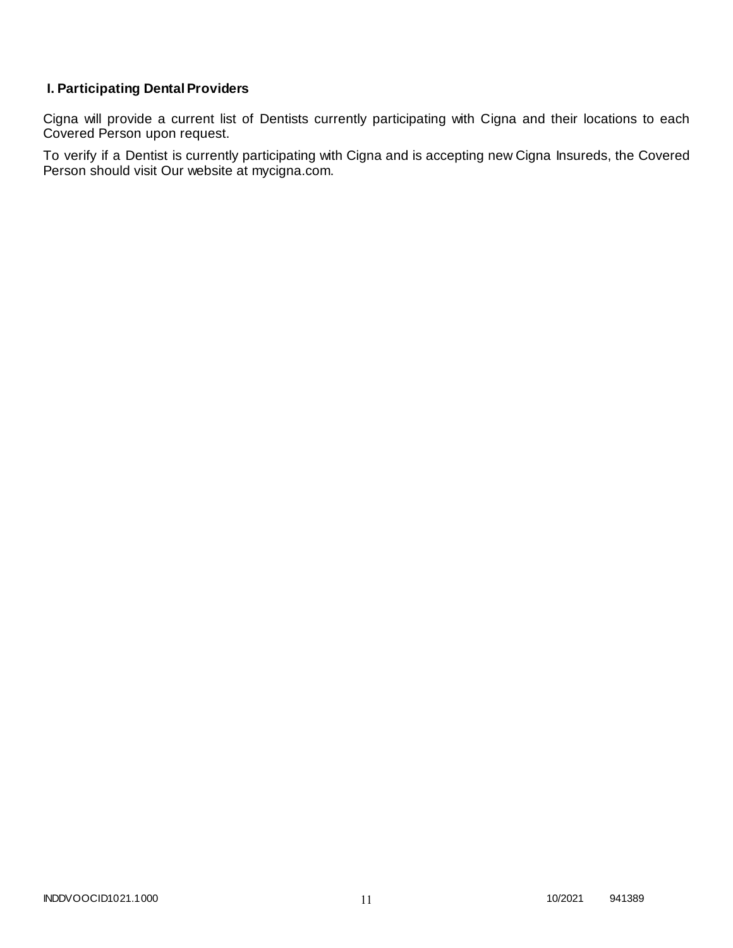# **I. Participating Dental Providers**

Cigna will provide a current list of Dentists currently participating with Cigna and their locations to each Covered Person upon request.

To verify if a Dentist is currently participating with Cigna and is accepting new Cigna Insureds, the Covered Person should visit Our website at mycigna.com.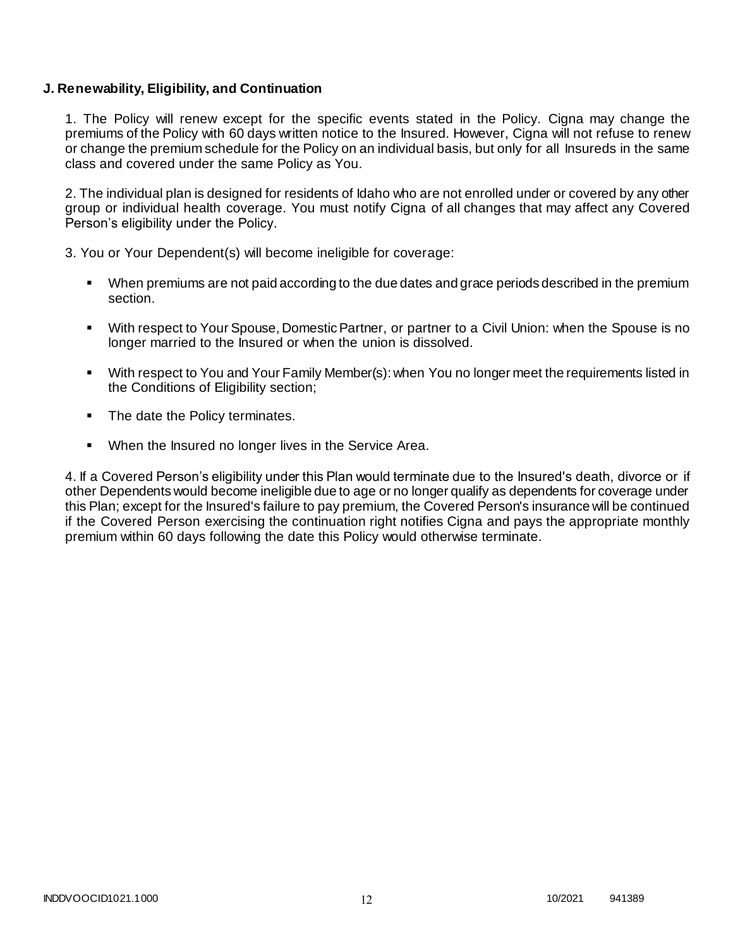### **J. Renewability, Eligibility, and Continuation**

1. The Policy will renew except for the specific events stated in the Policy. Cigna may change the premiums of the Policy with 60 days written notice to the Insured. However, Cigna will not refuse to renew or change the premium schedule for the Policy on an individual basis, but only for all Insureds in the same class and covered under the same Policy as You.

2. The individual plan is designed for residents of Idaho who are not enrolled under or covered by any other group or individual health coverage. You must notify Cigna of all changes that may affect any Covered Person's eligibility under the Policy.

3. You or Your Dependent(s) will become ineligible for coverage:

- When premiums are not paid according to the due dates and grace periods described in the premium section.
- With respect to Your Spouse, Domestic Partner, or partner to a Civil Union: when the Spouse is no longer married to the Insured or when the union is dissolved.
- With respect to You and Your Family Member(s): when You no longer meet the requirements listed in the Conditions of Eligibility section;
- The date the Policy terminates.
- When the Insured no longer lives in the Service Area.

4. If a Covered Person's eligibility under this Plan would terminate due to the Insured's death, divorce or if other Dependents would become ineligible due to age or no longer qualify as dependents for coverage under this Plan; except for the Insured's failure to pay premium, the Covered Person's insurance will be continued if the Covered Person exercising the continuation right notifies Cigna and pays the appropriate monthly premium within 60 days following the date this Policy would otherwise terminate.